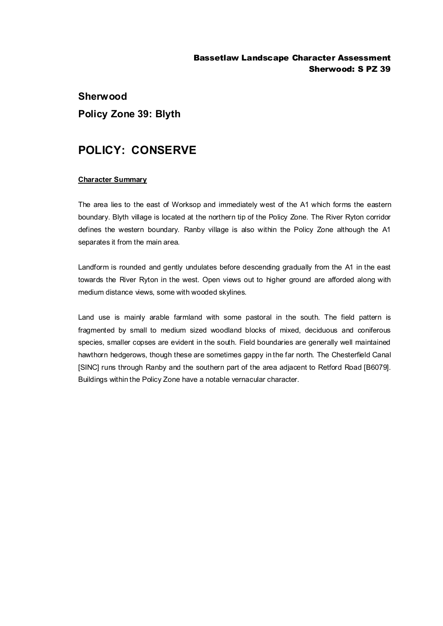## Bassetlaw Landscape Character Assessment Sherwood: S PZ 39

## **Sherwood Policy Zone 39: Blyth**

## **POLICY: CONSERVE**

## **Character Summary**

The area lies to the east of Worksop and immediately west of the A1 which forms the eastern boundary. Blyth village is located at the northern tip of the Policy Zone. The River Ryton corridor defines the western boundary. Ranby village is also within the Policy Zone although the A1 separates it from the main area.

Landform is rounded and gently undulates before descending gradually from the A1 in the east towards the River Ryton in the west. Open views out to higher ground are afforded along with medium distance views, some with wooded skylines.

Land use is mainly arable farmland with some pastoral in the south. The field pattern is fragmented by small to medium sized woodland blocks of mixed, deciduous and coniferous species, smaller copses are evident in the south. Field boundaries are generally well maintained hawthorn hedgerows, though these are sometimes gappy in the far north. The Chesterfield Canal [SINC] runs through Ranby and the southern part of the area adjacent to Retford Road [B6079]. Buildings within the Policy Zone have a notable vernacular character.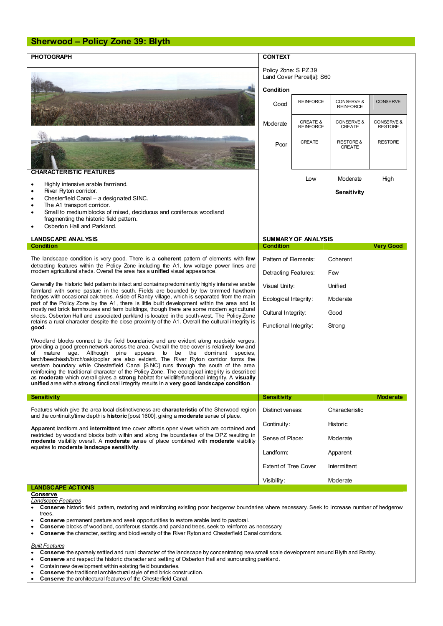| <b>Sherwood - Policy Zone 39: Blyth</b>                                                                                                                                                                                                                                                                                                                                                                                                                                                                                                                                                                                                                                                                                                                |                                                                       |                                         |                                |                              |  |
|--------------------------------------------------------------------------------------------------------------------------------------------------------------------------------------------------------------------------------------------------------------------------------------------------------------------------------------------------------------------------------------------------------------------------------------------------------------------------------------------------------------------------------------------------------------------------------------------------------------------------------------------------------------------------------------------------------------------------------------------------------|-----------------------------------------------------------------------|-----------------------------------------|--------------------------------|------------------------------|--|
| <b>PHOTOGRAPH</b>                                                                                                                                                                                                                                                                                                                                                                                                                                                                                                                                                                                                                                                                                                                                      | <b>CONTEXT</b>                                                        |                                         |                                |                              |  |
|                                                                                                                                                                                                                                                                                                                                                                                                                                                                                                                                                                                                                                                                                                                                                        | Policy Zone: S PZ 39<br>Land Cover Parcel[s]: S60<br><b>Condition</b> |                                         |                                |                              |  |
|                                                                                                                                                                                                                                                                                                                                                                                                                                                                                                                                                                                                                                                                                                                                                        | Good                                                                  | <b>REINFORCE</b>                        | CONSERVE &<br><b>REINFORCE</b> | <b>CONSERVE</b>              |  |
|                                                                                                                                                                                                                                                                                                                                                                                                                                                                                                                                                                                                                                                                                                                                                        | Moderate                                                              | <b>CREATE &amp;</b><br><b>REINFORCE</b> | CONSERVE &<br><b>CREATE</b>    | CONSERVE &<br><b>RESTORE</b> |  |
|                                                                                                                                                                                                                                                                                                                                                                                                                                                                                                                                                                                                                                                                                                                                                        | Poor                                                                  | <b>CREATE</b>                           | <b>RESTORE &amp;</b><br>CREATE | <b>RESTORE</b>               |  |
| <b>CHARACTERISTIC FEATURES</b>                                                                                                                                                                                                                                                                                                                                                                                                                                                                                                                                                                                                                                                                                                                         |                                                                       | Low                                     | Moderate                       | High                         |  |
| Highly intensive arable farmland.<br>٠                                                                                                                                                                                                                                                                                                                                                                                                                                                                                                                                                                                                                                                                                                                 |                                                                       |                                         |                                |                              |  |
| River Ryton corridor.<br>Chesterfield Canal - a designated SINC.<br>٠<br>The A1 transport corridor.<br>٠<br>Small to medium blocks of mixed, deciduous and coniferous woodland<br>fragmenting the historic field pattern.<br>Osberton Hall and Parkland.                                                                                                                                                                                                                                                                                                                                                                                                                                                                                               |                                                                       |                                         | Sensitivity                    |                              |  |
| <b>LANDSCAPE ANALYSIS</b>                                                                                                                                                                                                                                                                                                                                                                                                                                                                                                                                                                                                                                                                                                                              | <b>SUMMARY OF ANALYSIS</b>                                            |                                         |                                |                              |  |
| Condition                                                                                                                                                                                                                                                                                                                                                                                                                                                                                                                                                                                                                                                                                                                                              | <b>Condition</b><br><b>Very Good</b>                                  |                                         |                                |                              |  |
| The landscape condition is very good. There is a <b>coherent</b> pattern of elements with <b>few</b><br>detracting features within the Policy Zone including the A1, low voltage power lines and<br>modem agricultural sheds. Overall the area has a unified visual appearance.                                                                                                                                                                                                                                                                                                                                                                                                                                                                        | Pattern of Elements:<br>Coherent                                      |                                         |                                |                              |  |
|                                                                                                                                                                                                                                                                                                                                                                                                                                                                                                                                                                                                                                                                                                                                                        | Detracting Features:<br>Few                                           |                                         |                                |                              |  |
| Generally the historic field pattern is intact and contains predominantly highly intensive arable<br>farmland with some pasture in the south. Fields are bounded by low trimmed hawthorn<br>hedges with occasional oak trees. Aside of Ranby village, which is separated from the main<br>part of the Policy Zone by the A1, there is little built development within the area and is<br>mostly red brick farmhouses and farm buildings, though there are some modern agricultural<br>sheds. Osberton Hall and associated parkland is located in the south-west. The Policy Zone<br>retains a rural character despite the close proximity of the A1. Overall the cultural integrity is                                                                 | Visual Unity:                                                         |                                         | Unified                        |                              |  |
|                                                                                                                                                                                                                                                                                                                                                                                                                                                                                                                                                                                                                                                                                                                                                        | Ecological Integrity:                                                 |                                         | Moderate                       |                              |  |
|                                                                                                                                                                                                                                                                                                                                                                                                                                                                                                                                                                                                                                                                                                                                                        | Cultural Integrity:                                                   |                                         | Good                           |                              |  |
| good.                                                                                                                                                                                                                                                                                                                                                                                                                                                                                                                                                                                                                                                                                                                                                  |                                                                       | Functional Integrity:<br>Strong         |                                |                              |  |
| Woodland blocks connect to the field boundaries and are evident along roadside verges,<br>providing a good green network across the area. Overall the tree cover is relatively low and<br>mature age. Although pine appears<br>to<br>be the dominant species,<br>of<br>larch/beech/ash/birch/oak/poplar are also evident. The River Ryton corridor forms the<br>westem boundary while Chesterfield Canal [SINC] runs through the south of the area<br>reinforcing the traditional character of the Policy Zone. The ecological integrity is described<br>as moderate which overall gives a strong habitat for wildlife/functional integrity. A visually<br>unified area with a strong functional integrity results in a very good landscape condition. |                                                                       |                                         |                                |                              |  |
| <b>Sensitivity</b>                                                                                                                                                                                                                                                                                                                                                                                                                                                                                                                                                                                                                                                                                                                                     | Sensitivity                                                           |                                         |                                | <b>Moderate</b>              |  |
| Features which give the area local distinctiveness are <b>characteristic</b> of the Sherwood region<br>and the continuity time depth is <b>historic</b> [post 1600], giving a <b>moderate</b> sense of place.                                                                                                                                                                                                                                                                                                                                                                                                                                                                                                                                          | Distinctiveness:                                                      |                                         | Characteristic                 |                              |  |
| Apparent landform and intermittent tree cover affords open views which are contained and<br>restricted by woodland blocks both within and along the boundaries of the DPZ resulting in<br>moderate visibility overall. A moderate sense of place combined with moderate visibility<br>equates to moderate landscape sensitivity.                                                                                                                                                                                                                                                                                                                                                                                                                       | Continuity:                                                           |                                         | Historic                       |                              |  |
|                                                                                                                                                                                                                                                                                                                                                                                                                                                                                                                                                                                                                                                                                                                                                        | Sense of Place:                                                       |                                         | Moderate                       |                              |  |
|                                                                                                                                                                                                                                                                                                                                                                                                                                                                                                                                                                                                                                                                                                                                                        |                                                                       | Landform:<br>Apparent                   |                                |                              |  |
|                                                                                                                                                                                                                                                                                                                                                                                                                                                                                                                                                                                                                                                                                                                                                        | <b>Extent of Tree Cover</b>                                           |                                         | Intermittent                   |                              |  |
|                                                                                                                                                                                                                                                                                                                                                                                                                                                                                                                                                                                                                                                                                                                                                        | Visibility:                                                           |                                         | Moderate                       |                              |  |
| <b>LANDSCAPE ACTIONS</b><br>Conserve                                                                                                                                                                                                                                                                                                                                                                                                                                                                                                                                                                                                                                                                                                                   |                                                                       |                                         |                                |                              |  |
| Landscape Features<br>Conserve historic field pattem, restoring and reinforcing existing poor hedgerow boundaries where necessary. Seek to increase number of hedgerow<br>trees.                                                                                                                                                                                                                                                                                                                                                                                                                                                                                                                                                                       |                                                                       |                                         |                                |                              |  |
| Conserve permanent pasture and seek opportunities to restore arable land to pastoral.                                                                                                                                                                                                                                                                                                                                                                                                                                                                                                                                                                                                                                                                  |                                                                       |                                         |                                |                              |  |

- 
- · **Conserve** blocks of woodland, coniferous stands and parkland trees, seek to reinforce as necessary. · **Conserve** the character, setting and biodiversity of the River Ryton and Chesterfield Canal corridors.
- 

*Built Features*

- **Conserve** the sparsely settled and rural character of the landscape by concentrating new small scale development around Blyth and Ranby.<br>• Conserve and respect the historic character and setting of Osberton Hall and sur
- · **Conserve** and respect the historic character and setting of Osberton Hall and surrounding parkland.
- · Contain new development within existing field boundaries.
- · **Conserve** the traditional architectural style of red brick construction.
- · **Conserve** the architectural features of the Chesterfield Canal.